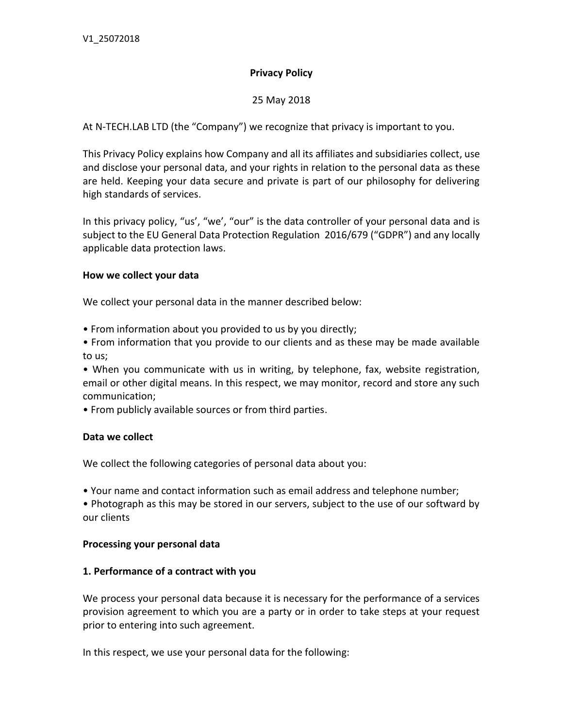## **Privacy Policy**

## 25 May 2018

At N-TECH.LAB LTD (the "Company") we recognize that privacy is important to you.

This Privacy Policy explains how Company and all its affiliates and subsidiaries collect, use and disclose your personal data, and your rights in relation to the personal data as these are held. Keeping your data secure and private is part of our philosophy for delivering high standards of services.

In this privacy policy, "us', "we', "our" is the data controller of your personal data and is subject to the EU General Data Protection Regulation 2016/679 ("GDPR") and any locally applicable data protection laws.

#### **How we collect your data**

We collect your personal data in the manner described below:

• From information about you provided to us by you directly;

• From information that you provide to our clients and as these may be made available to us;

• When you communicate with us in writing, by telephone, fax, website registration, email or other digital means. In this respect, we may monitor, record and store any such communication;

• From publicly available sources or from third parties.

#### **Data we collect**

We collect the following categories of personal data about you:

• Your name and contact information such as email address and telephone number;

• Photograph as this may be stored in our servers, subject to the use of our softward by our clients

#### **Processing your personal data**

#### **1. Performance of a contract with you**

We process your personal data because it is necessary for the performance of a services provision agreement to which you are a party or in order to take steps at your request prior to entering into such agreement.

In this respect, we use your personal data for the following: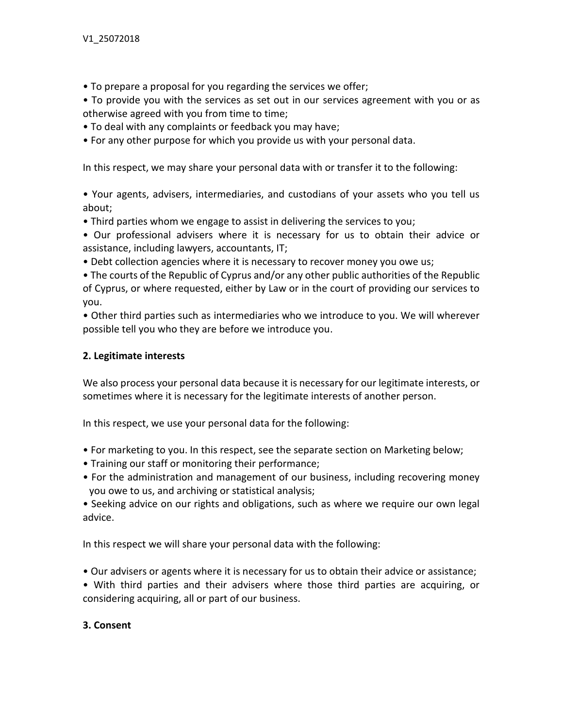• To prepare a proposal for you regarding the services we offer;

• To provide you with the services as set out in our services agreement with you or as otherwise agreed with you from time to time;

- To deal with any complaints or feedback you may have;
- For any other purpose for which you provide us with your personal data.

In this respect, we may share your personal data with or transfer it to the following:

• Your agents, advisers, intermediaries, and custodians of your assets who you tell us about;

• Third parties whom we engage to assist in delivering the services to you;

• Our professional advisers where it is necessary for us to obtain their advice or assistance, including lawyers, accountants, IT;

• Debt collection agencies where it is necessary to recover money you owe us;

• The courts of the Republic of Cyprus and/or any other public authorities of the Republic of Cyprus, or where requested, either by Law or in the court of providing our services to you.

• Other third parties such as intermediaries who we introduce to you. We will wherever possible tell you who they are before we introduce you.

## **2. Legitimate interests**

We also process your personal data because it is necessary for our legitimate interests, or sometimes where it is necessary for the legitimate interests of another person.

In this respect, we use your personal data for the following:

- For marketing to you. In this respect, see the separate section on Marketing below;
- Training our staff or monitoring their performance;
- For the administration and management of our business, including recovering money you owe to us, and archiving or statistical analysis;

• Seeking advice on our rights and obligations, such as where we require our own legal advice.

In this respect we will share your personal data with the following:

• Our advisers or agents where it is necessary for us to obtain their advice or assistance;

• With third parties and their advisers where those third parties are acquiring, or considering acquiring, all or part of our business.

#### **3. Consent**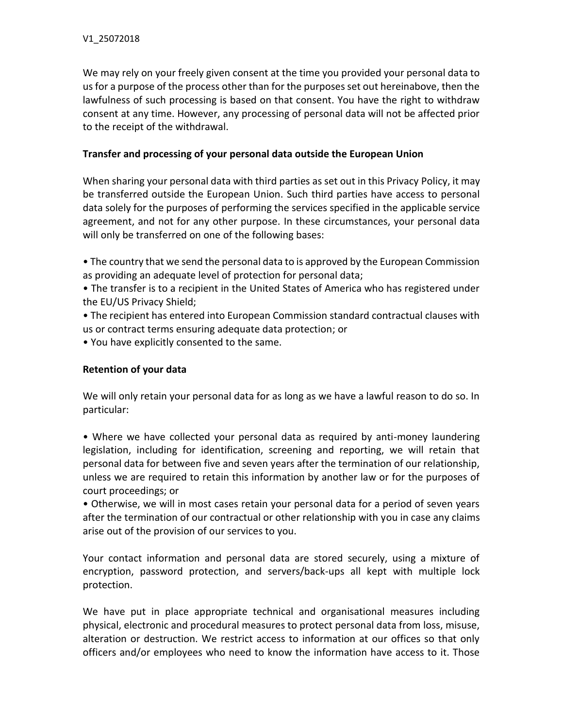We may rely on your freely given consent at the time you provided your personal data to us for a purpose of the process other than for the purposes set out hereinabove, then the lawfulness of such processing is based on that consent. You have the right to withdraw consent at any time. However, any processing of personal data will not be affected prior to the receipt of the withdrawal.

## **Transfer and processing of your personal data outside the European Union**

When sharing your personal data with third parties as set out in this Privacy Policy, it may be transferred outside the European Union. Such third parties have access to personal data solely for the purposes of performing the services specified in the applicable service agreement, and not for any other purpose. In these circumstances, your personal data will only be transferred on one of the following bases:

- The country that we send the personal data to is approved by the European Commission as providing an adequate level of protection for personal data;
- The transfer is to a recipient in the United States of America who has registered under the EU/US Privacy Shield;
- The recipient has entered into European Commission standard contractual clauses with us or contract terms ensuring adequate data protection; or
- You have explicitly consented to the same.

## **Retention of your data**

We will only retain your personal data for as long as we have a lawful reason to do so. In particular:

• Where we have collected your personal data as required by anti-money laundering legislation, including for identification, screening and reporting, we will retain that personal data for between five and seven years after the termination of our relationship, unless we are required to retain this information by another law or for the purposes of court proceedings; or

• Otherwise, we will in most cases retain your personal data for a period of seven years after the termination of our contractual or other relationship with you in case any claims arise out of the provision of our services to you.

Your contact information and personal data are stored securely, using a mixture of encryption, password protection, and servers/back-ups all kept with multiple lock protection.

We have put in place appropriate technical and organisational measures including physical, electronic and procedural measures to protect personal data from loss, misuse, alteration or destruction. We restrict access to information at our offices so that only officers and/or employees who need to know the information have access to it. Those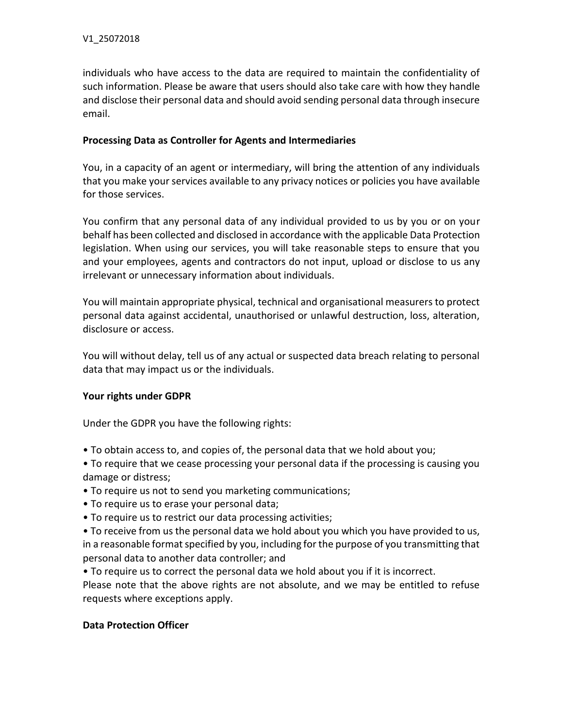individuals who have access to the data are required to maintain the confidentiality of such information. Please be aware that users should also take care with how they handle and disclose their personal data and should avoid sending personal data through insecure email.

#### **Processing Data as Controller for Agents and Intermediaries**

You, in a capacity of an agent or intermediary, will bring the attention of any individuals that you make your services available to any privacy notices or policies you have available for those services.

You confirm that any personal data of any individual provided to us by you or on your behalf has been collected and disclosed in accordance with the applicable Data Protection legislation. When using our services, you will take reasonable steps to ensure that you and your employees, agents and contractors do not input, upload or disclose to us any irrelevant or unnecessary information about individuals.

You will maintain appropriate physical, technical and organisational measurers to protect personal data against accidental, unauthorised or unlawful destruction, loss, alteration, disclosure or access.

You will without delay, tell us of any actual or suspected data breach relating to personal data that may impact us or the individuals.

# **Your rights under GDPR**

Under the GDPR you have the following rights:

- To obtain access to, and copies of, the personal data that we hold about you;
- To require that we cease processing your personal data if the processing is causing you damage or distress;
- To require us not to send you marketing communications;
- To require us to erase your personal data;
- To require us to restrict our data processing activities;

• To receive from us the personal data we hold about you which you have provided to us, in a reasonable format specified by you, including for the purpose of you transmitting that personal data to another data controller; and

• To require us to correct the personal data we hold about you if it is incorrect.

Please note that the above rights are not absolute, and we may be entitled to refuse requests where exceptions apply.

#### **Data Protection Officer**